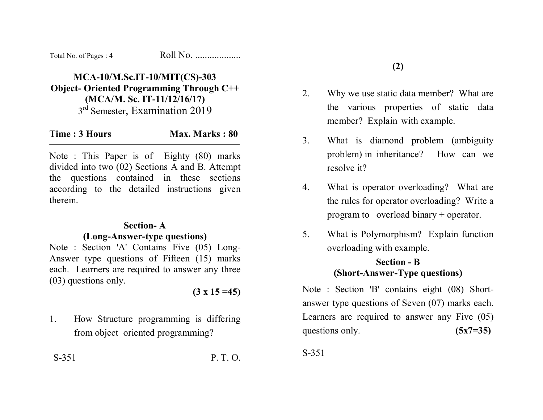| Total No. of Pages: 4 | Roll No. |
|-----------------------|----------|
|-----------------------|----------|

## **MCA-10/M.Sc.IT-10/MIT(CS)-303 Object- Oriented Programming Through C++ (MCA/M. Sc. IT-11/12/16/17)**  3<sup>rd</sup> Semester, Examination 2019

| Time: 3 Hours | Max. Marks: 80 |
|---------------|----------------|
|---------------|----------------|

Note : This Paper is of Eighty (80) marks divided into two (02) Sections A and B. Attempt the questions contained in these sections according to the detailed instructions given therein.

## **Section- A**

## **(Long-Answer-type questions)**

Note : Section 'A' Contains Five (05) Long-Answer type questions of Fifteen (15) marks each. Learners are required to answer any three (03) questions only.

**(3 x 15 =45)** 

1. How Structure programming is differing from object oriented programming?

S-351 P. T. O.

- 2. Why we use static data member? What are the various properties of static data member? Explain with example.
- 3. What is diamond problem (ambiguity problem) in inheritance? How can we resolve it?
- 4. What is operator overloading? What are the rules for operator overloading? Write a program to overload binary + operator.
- 5. What is Polymorphism? Explain function overloading with example.

## **Section - B (Short-Answer-Type questions)**

Note : Section 'B' contains eight (08) Shortanswer type questions of Seven (07) marks each. Learners are required to answer any Five (05) questions only. **(5x7=35)** 

S-351